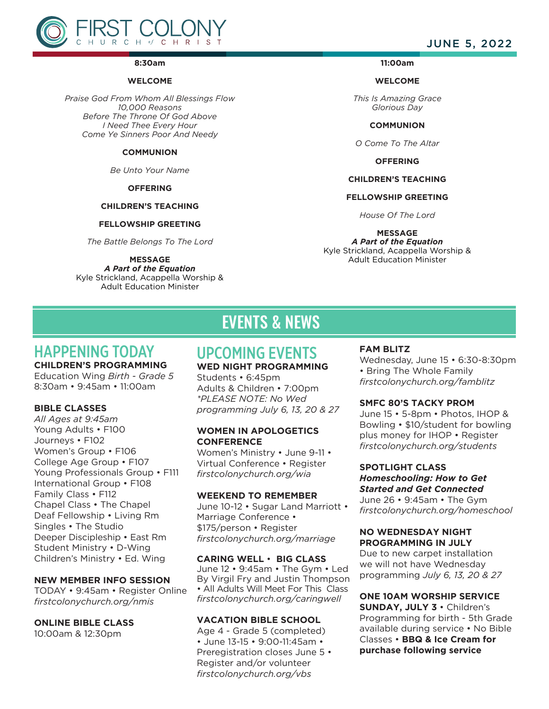

#### **8:30am**

#### **WELCOME**

*Praise God From Whom All Blessings Flow 10,000 Reasons Before The Throne Of God Above I Need Thee Every Hour Come Ye Sinners Poor And Needy*

#### **COMMUNION**

*Be Unto Your Name*

#### **OFFERING**

#### **CHILDREN'S TEACHING**

#### **FELLOWSHIP GREETING**

*The Battle Belongs To The Lord*

#### **MESSAGE**

*A Part of the Equation* Kyle Strickland, Acappella Worship & Adult Education Minister

**11:00am** 

#### **WELCOME**

*This Is Amazing Grace Glorious Day*

**COMMUNION**

*O Come To The Altar*

**OFFERING**

### **CHILDREN'S TEACHING**

#### **FELLOWSHIP GREETING**

*House Of The Lord*

### **MESSAGE**

*A Part of the Equation* Kyle Strickland, Acappella Worship & Adult Education Minister

## HAPPENING TODAY

## **CHILDREN'S PROGRAMMING**

Education Wing *Birth - Grade 5* 8:30am • 9:45am • 11:00am

### **BIBLE CLASSES**

*All Ages at 9:45am* Young Adults • F100 Journeys • F102 Women's Group • F106 College Age Group • F107 Young Professionals Group • F111 International Group • F108 Family Class • F112 Chapel Class • The Chapel Deaf Fellowship • Living Rm Singles • The Studio Deeper Discipleship • East Rm Student Ministry • D-Wing Children's Ministry • Ed. Wing

#### **NEW MEMBER INFO SESSION**

TODAY • 9:45am • Register Online *firstcolonychurch.org/nmis* 

#### **ONLINE BIBLE CLASS**

10:00am & 12:30pm

# EVENTS & NEWS

## UPCOMING EVENTS

#### **WED NIGHT PROGRAMMING**

Students • 6:45pm Adults & Children • 7:00pm *\*PLEASE NOTE: No Wed programming July 6, 13, 20 & 27*

#### **WOMEN IN APOLOGETICS CONFERENCE**

Women's Ministry • June 9-11 • Virtual Conference • Register *firstcolonychurch.org/wia* 

#### **WEEKEND TO REMEMBER**

June 10-12 • Sugar Land Marriott • Marriage Conference • \$175/person • Register *firstcolonychurch.org/marriage*

#### **CARING WELL** • **BIG CLASS**

June 12 • 9:45am • The Gym • Led By Virgil Fry and Justin Thompson • All Adults Will Meet For This Class *firstcolonychurch.org/caringwell* 

### **VACATION BIBLE SCHOOL**

Age 4 - Grade 5 (completed) • June 13-15 • 9:00-11:45am • Preregistration closes June 5 • Register and/or volunteer *firstcolonychurch.org/vbs*

#### **FAM BLITZ**

Wednesday, June 15 • 6:30-8:30pm • Bring The Whole Family *firstcolonychurch.org/famblitz*

#### **SMFC 80'S TACKY PROM**

June 15 • 5-8pm • Photos, IHOP & Bowling • \$10/student for bowling plus money for IHOP • Register *firstcolonychurch.org/students* 

#### **SPOTLIGHT CLASS**

*Homeschooling: How to Get Started and Get Connected* June 26 • 9:45am • The Gym *firstcolonychurch.org/homeschool*

#### **NO WEDNESDAY NIGHT PROGRAMMING IN JULY**

Due to new carpet installation we will not have Wednesday programming *July 6, 13, 20 & 27*

**ONE 10AM WORSHIP SERVICE SUNDAY, JULY 3** • Children's Programming for birth - 5th Grade available during service • No Bible Classes • **BBQ & Ice Cream for purchase following service** 

## JUNE 5, 2022